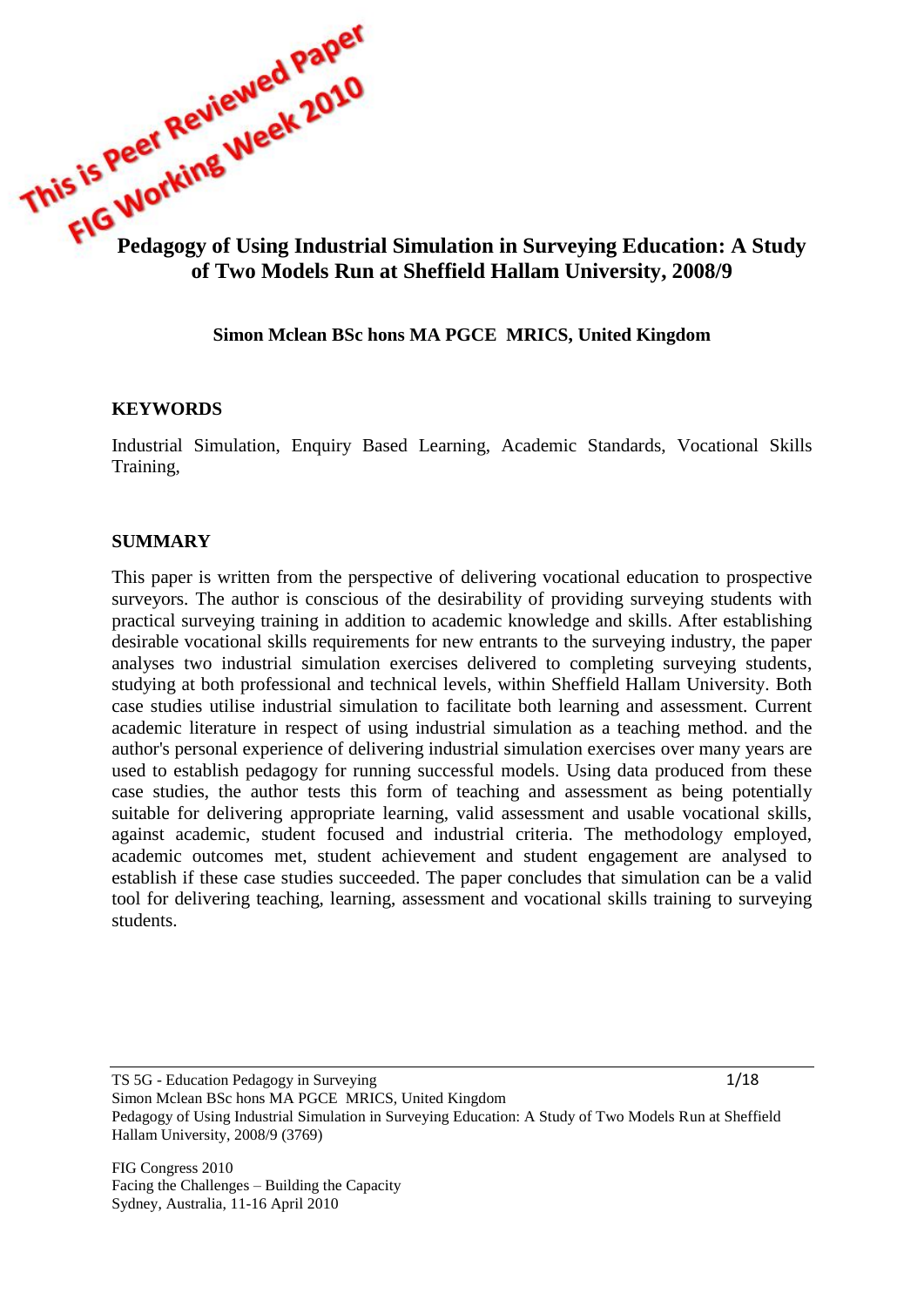

#### **Simon Mclean BSc hons MA PGCE MRICS, United Kingdom**

#### **KEYWORDS**

Industrial Simulation, Enquiry Based Learning, Academic Standards, Vocational Skills Training,

#### **SUMMARY**

This paper is written from the perspective of delivering vocational education to prospective surveyors. The author is conscious of the desirability of providing surveying students with practical surveying training in addition to academic knowledge and skills. After establishing desirable vocational skills requirements for new entrants to the surveying industry, the paper analyses two industrial simulation exercises delivered to completing surveying students, studying at both professional and technical levels, within Sheffield Hallam University. Both case studies utilise industrial simulation to facilitate both learning and assessment. Current academic literature in respect of using industrial simulation as a teaching method. and the author's personal experience of delivering industrial simulation exercises over many years are used to establish pedagogy for running successful models. Using data produced from these case studies, the author tests this form of teaching and assessment as being potentially suitable for delivering appropriate learning, valid assessment and usable vocational skills, against academic, student focused and industrial criteria. The methodology employed, academic outcomes met, student achievement and student engagement are analysed to establish if these case studies succeeded. The paper concludes that simulation can be a valid tool for delivering teaching, learning, assessment and vocational skills training to surveying students.

TS 5G - Education Pedagogy in Surveying 1/18 Simon Mclean BSc hons MA PGCE MRICS, United Kingdom Pedagogy of Using Industrial Simulation in Surveying Education: A Study of Two Models Run at Sheffield Hallam University, 2008/9 (3769)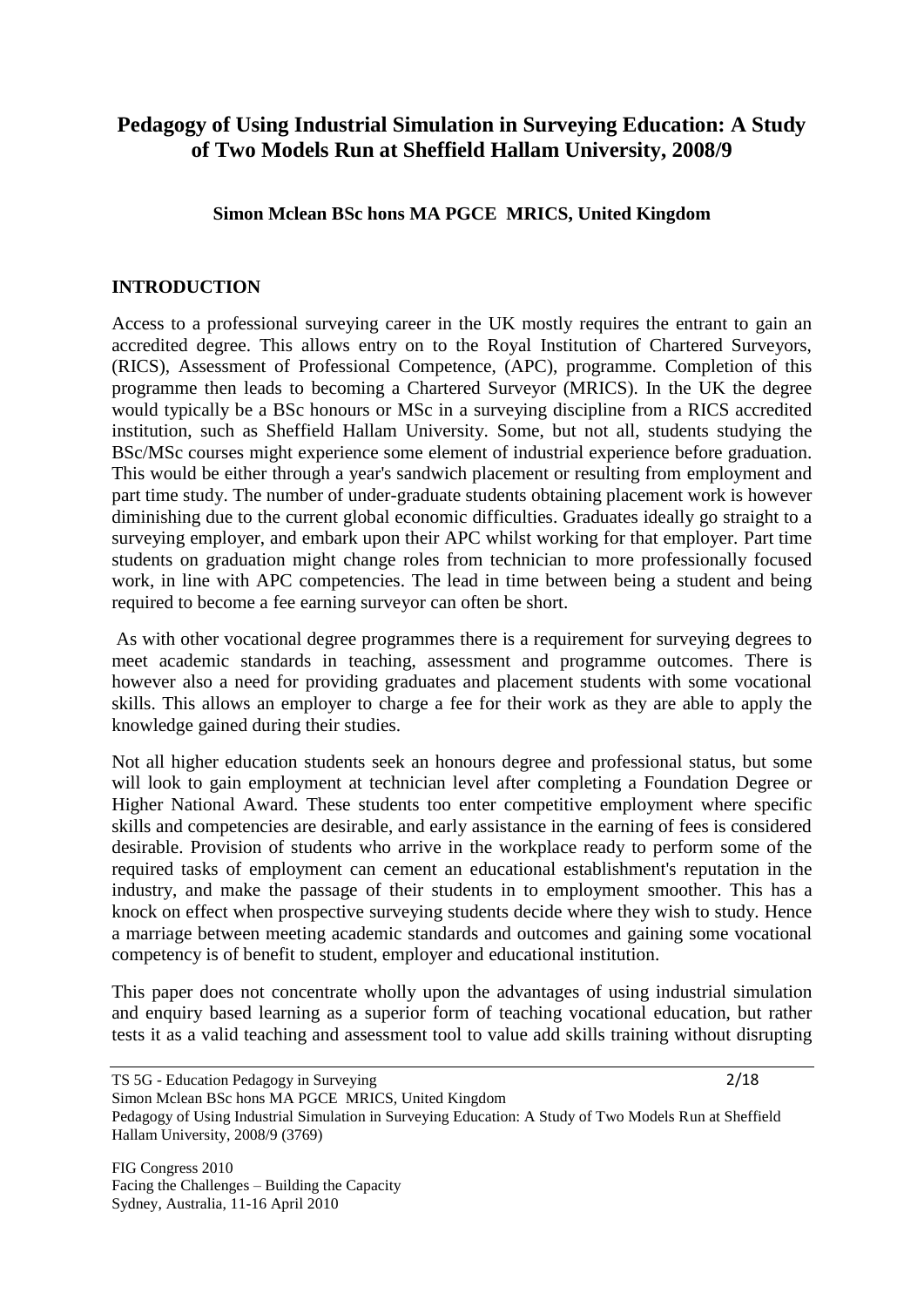# **Pedagogy of Using Industrial Simulation in Surveying Education: A Study of Two Models Run at Sheffield Hallam University, 2008/9**

#### **Simon Mclean BSc hons MA PGCE MRICS, United Kingdom**

#### **INTRODUCTION**

Access to a professional surveying career in the UK mostly requires the entrant to gain an accredited degree. This allows entry on to the Royal Institution of Chartered Surveyors, (RICS), Assessment of Professional Competence, (APC), programme. Completion of this programme then leads to becoming a Chartered Surveyor (MRICS). In the UK the degree would typically be a BSc honours or MSc in a surveying discipline from a RICS accredited institution, such as Sheffield Hallam University. Some, but not all, students studying the BSc/MSc courses might experience some element of industrial experience before graduation. This would be either through a year's sandwich placement or resulting from employment and part time study. The number of under-graduate students obtaining placement work is however diminishing due to the current global economic difficulties. Graduates ideally go straight to a surveying employer, and embark upon their APC whilst working for that employer. Part time students on graduation might change roles from technician to more professionally focused work, in line with APC competencies. The lead in time between being a student and being required to become a fee earning surveyor can often be short.

As with other vocational degree programmes there is a requirement for surveying degrees to meet academic standards in teaching, assessment and programme outcomes. There is however also a need for providing graduates and placement students with some vocational skills. This allows an employer to charge a fee for their work as they are able to apply the knowledge gained during their studies.

Not all higher education students seek an honours degree and professional status, but some will look to gain employment at technician level after completing a Foundation Degree or Higher National Award. These students too enter competitive employment where specific skills and competencies are desirable, and early assistance in the earning of fees is considered desirable. Provision of students who arrive in the workplace ready to perform some of the required tasks of employment can cement an educational establishment's reputation in the industry, and make the passage of their students in to employment smoother. This has a knock on effect when prospective surveying students decide where they wish to study. Hence a marriage between meeting academic standards and outcomes and gaining some vocational competency is of benefit to student, employer and educational institution.

This paper does not concentrate wholly upon the advantages of using industrial simulation and enquiry based learning as a superior form of teaching vocational education, but rather tests it as a valid teaching and assessment tool to value add skills training without disrupting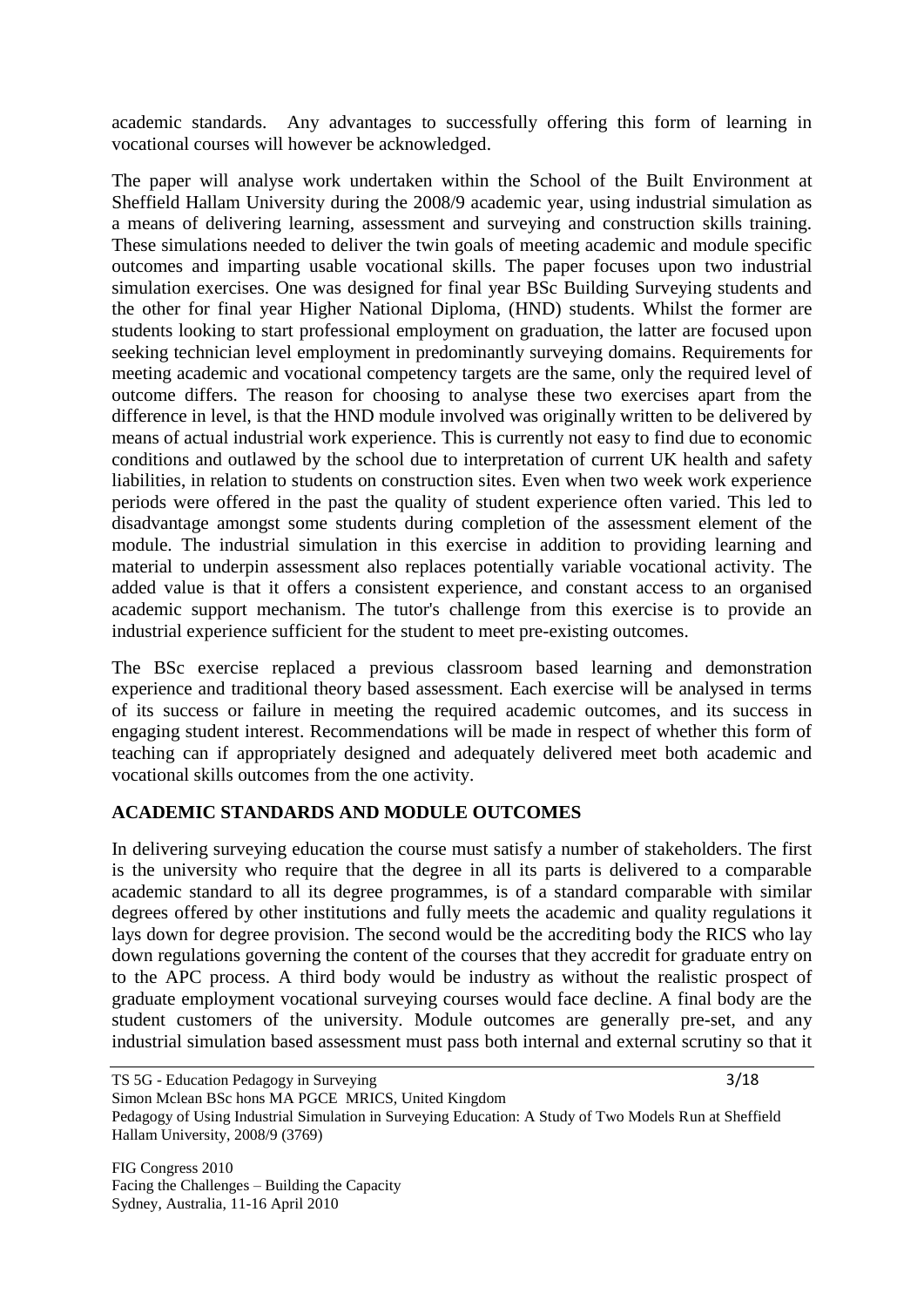academic standards. Any advantages to successfully offering this form of learning in vocational courses will however be acknowledged.

The paper will analyse work undertaken within the School of the Built Environment at Sheffield Hallam University during the 2008/9 academic year, using industrial simulation as a means of delivering learning, assessment and surveying and construction skills training. These simulations needed to deliver the twin goals of meeting academic and module specific outcomes and imparting usable vocational skills. The paper focuses upon two industrial simulation exercises. One was designed for final year BSc Building Surveying students and the other for final year Higher National Diploma, (HND) students. Whilst the former are students looking to start professional employment on graduation, the latter are focused upon seeking technician level employment in predominantly surveying domains. Requirements for meeting academic and vocational competency targets are the same, only the required level of outcome differs. The reason for choosing to analyse these two exercises apart from the difference in level, is that the HND module involved was originally written to be delivered by means of actual industrial work experience. This is currently not easy to find due to economic conditions and outlawed by the school due to interpretation of current UK health and safety liabilities, in relation to students on construction sites. Even when two week work experience periods were offered in the past the quality of student experience often varied. This led to disadvantage amongst some students during completion of the assessment element of the module. The industrial simulation in this exercise in addition to providing learning and material to underpin assessment also replaces potentially variable vocational activity. The added value is that it offers a consistent experience, and constant access to an organised academic support mechanism. The tutor's challenge from this exercise is to provide an industrial experience sufficient for the student to meet pre-existing outcomes.

The BSc exercise replaced a previous classroom based learning and demonstration experience and traditional theory based assessment. Each exercise will be analysed in terms of its success or failure in meeting the required academic outcomes, and its success in engaging student interest. Recommendations will be made in respect of whether this form of teaching can if appropriately designed and adequately delivered meet both academic and vocational skills outcomes from the one activity.

# **ACADEMIC STANDARDS AND MODULE OUTCOMES**

In delivering surveying education the course must satisfy a number of stakeholders. The first is the university who require that the degree in all its parts is delivered to a comparable academic standard to all its degree programmes, is of a standard comparable with similar degrees offered by other institutions and fully meets the academic and quality regulations it lays down for degree provision. The second would be the accrediting body the RICS who lay down regulations governing the content of the courses that they accredit for graduate entry on to the APC process. A third body would be industry as without the realistic prospect of graduate employment vocational surveying courses would face decline. A final body are the student customers of the university. Module outcomes are generally pre-set, and any industrial simulation based assessment must pass both internal and external scrutiny so that it

Facing the Challenges – Building the Capacity Sydney, Australia, 11-16 April 2010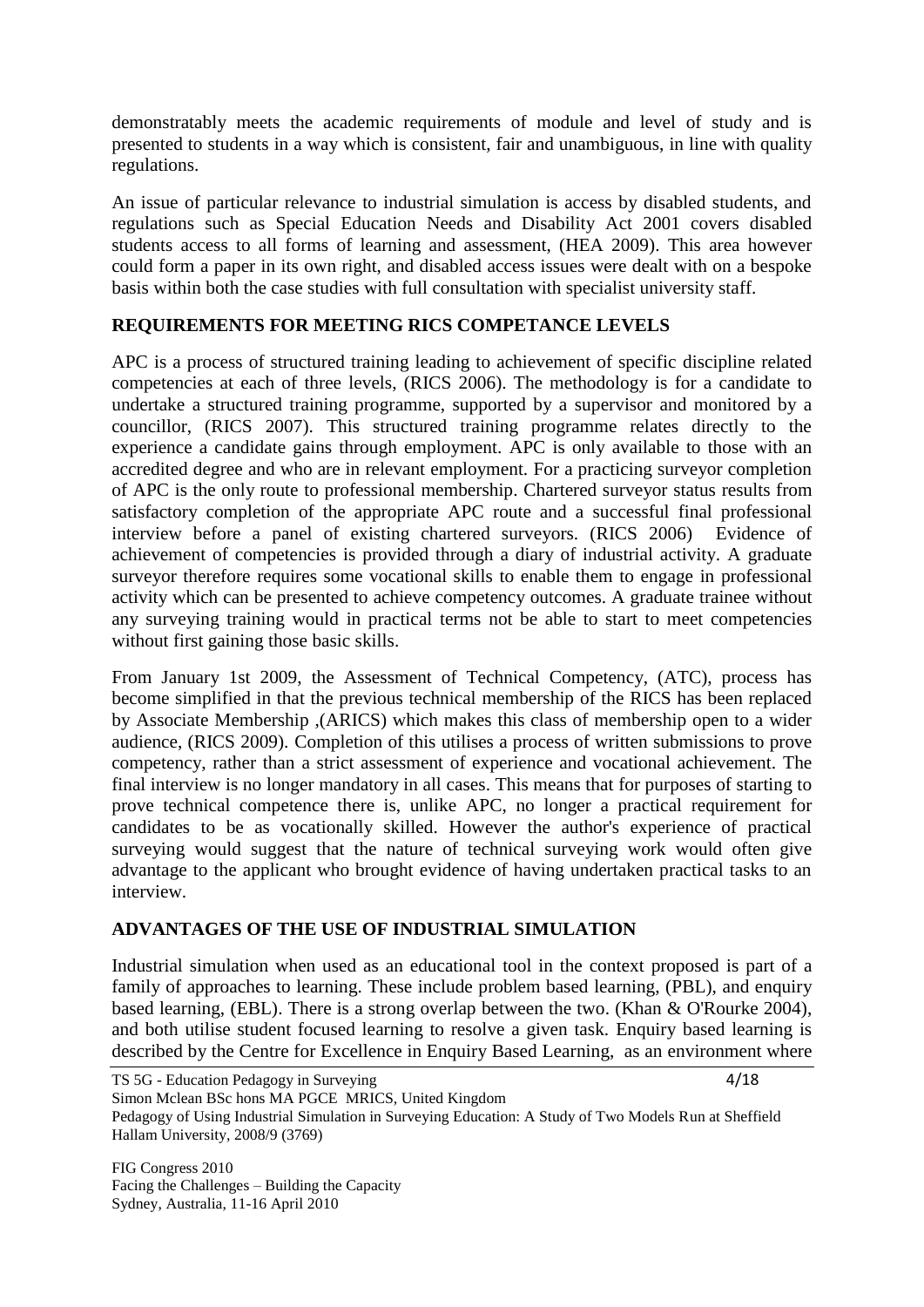demonstratably meets the academic requirements of module and level of study and is presented to students in a way which is consistent, fair and unambiguous, in line with quality regulations.

An issue of particular relevance to industrial simulation is access by disabled students, and regulations such as Special Education Needs and Disability Act 2001 covers disabled students access to all forms of learning and assessment, (HEA 2009). This area however could form a paper in its own right, and disabled access issues were dealt with on a bespoke basis within both the case studies with full consultation with specialist university staff.

## **REQUIREMENTS FOR MEETING RICS COMPETANCE LEVELS**

APC is a process of structured training leading to achievement of specific discipline related competencies at each of three levels, (RICS 2006). The methodology is for a candidate to undertake a structured training programme, supported by a supervisor and monitored by a councillor, (RICS 2007). This structured training programme relates directly to the experience a candidate gains through employment. APC is only available to those with an accredited degree and who are in relevant employment. For a practicing surveyor completion of APC is the only route to professional membership. Chartered surveyor status results from satisfactory completion of the appropriate APC route and a successful final professional interview before a panel of existing chartered surveyors. (RICS 2006) Evidence of achievement of competencies is provided through a diary of industrial activity. A graduate surveyor therefore requires some vocational skills to enable them to engage in professional activity which can be presented to achieve competency outcomes. A graduate trainee without any surveying training would in practical terms not be able to start to meet competencies without first gaining those basic skills.

From January 1st 2009, the Assessment of Technical Competency, (ATC), process has become simplified in that the previous technical membership of the RICS has been replaced by Associate Membership ,(ARICS) which makes this class of membership open to a wider audience, (RICS 2009). Completion of this utilises a process of written submissions to prove competency, rather than a strict assessment of experience and vocational achievement. The final interview is no longer mandatory in all cases. This means that for purposes of starting to prove technical competence there is, unlike APC, no longer a practical requirement for candidates to be as vocationally skilled. However the author's experience of practical surveying would suggest that the nature of technical surveying work would often give advantage to the applicant who brought evidence of having undertaken practical tasks to an interview.

## **ADVANTAGES OF THE USE OF INDUSTRIAL SIMULATION**

Industrial simulation when used as an educational tool in the context proposed is part of a family of approaches to learning. These include problem based learning, (PBL), and enquiry based learning, (EBL). There is a strong overlap between the two. (Khan & O'Rourke 2004), and both utilise student focused learning to resolve a given task. Enquiry based learning is described by the Centre for Excellence in Enquiry Based Learning, as an environment where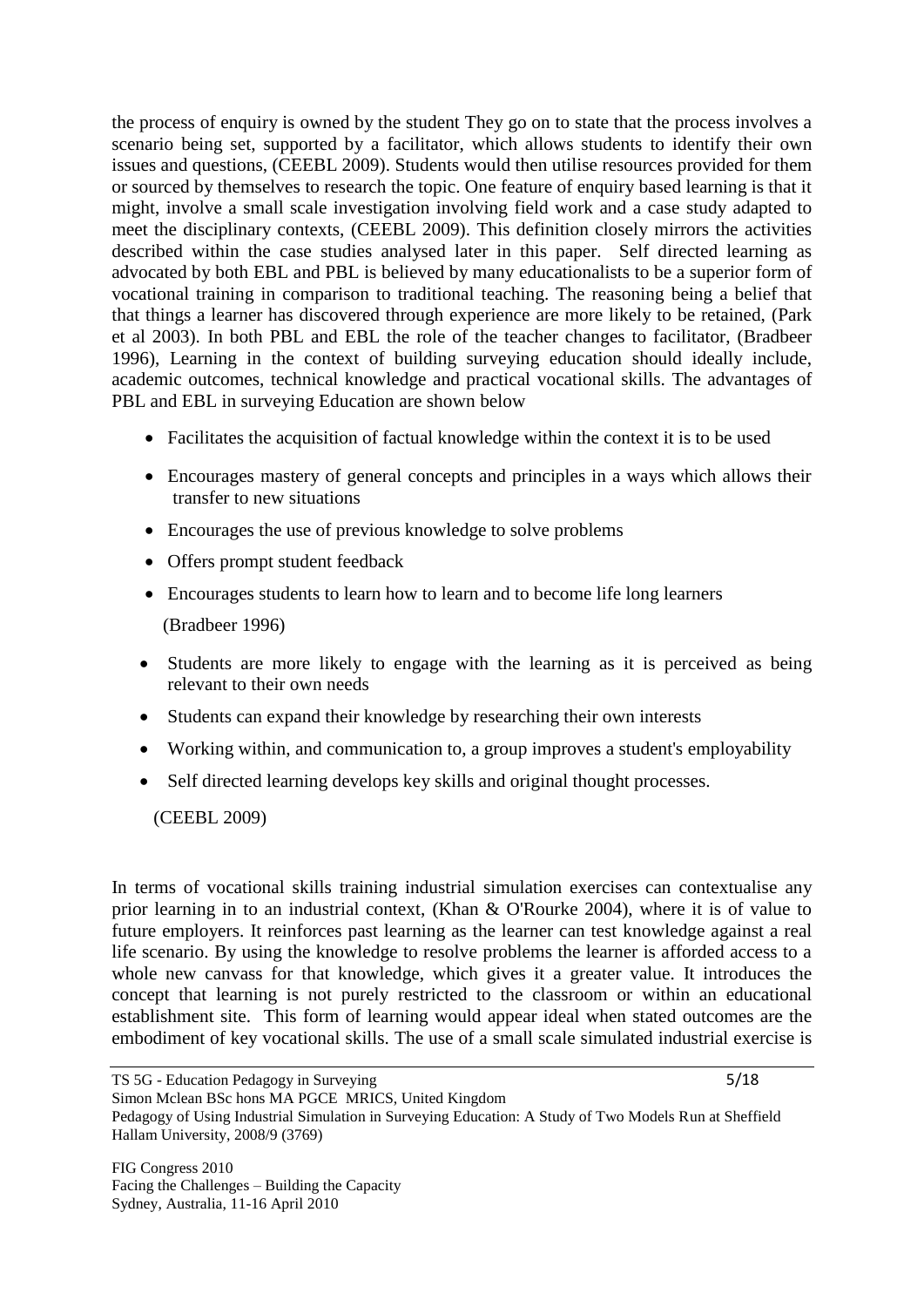the process of enquiry is owned by the student They go on to state that the process involves a scenario being set, supported by a facilitator, which allows students to identify their own issues and questions, (CEEBL 2009). Students would then utilise resources provided for them or sourced by themselves to research the topic. One feature of enquiry based learning is that it might, involve a small scale investigation involving field work and a case study adapted to meet the disciplinary contexts, (CEEBL 2009). This definition closely mirrors the activities described within the case studies analysed later in this paper. Self directed learning as advocated by both EBL and PBL is believed by many educationalists to be a superior form of vocational training in comparison to traditional teaching. The reasoning being a belief that that things a learner has discovered through experience are more likely to be retained, (Park et al 2003). In both PBL and EBL the role of the teacher changes to facilitator, (Bradbeer 1996), Learning in the context of building surveying education should ideally include, academic outcomes, technical knowledge and practical vocational skills. The advantages of PBL and EBL in surveying Education are shown below

- Facilitates the acquisition of factual knowledge within the context it is to be used
- Encourages mastery of general concepts and principles in a ways which allows their transfer to new situations
- Encourages the use of previous knowledge to solve problems
- Offers prompt student feedback
- Encourages students to learn how to learn and to become life long learners (Bradbeer 1996)
- Students are more likely to engage with the learning as it is perceived as being relevant to their own needs
- Students can expand their knowledge by researching their own interests
- Working within, and communication to, a group improves a student's employability
- Self directed learning develops key skills and original thought processes.

(CEEBL 2009)

In terms of vocational skills training industrial simulation exercises can contextualise any prior learning in to an industrial context, (Khan & O'Rourke 2004), where it is of value to future employers. It reinforces past learning as the learner can test knowledge against a real life scenario. By using the knowledge to resolve problems the learner is afforded access to a whole new canvass for that knowledge, which gives it a greater value. It introduces the concept that learning is not purely restricted to the classroom or within an educational establishment site. This form of learning would appear ideal when stated outcomes are the embodiment of key vocational skills. The use of a small scale simulated industrial exercise is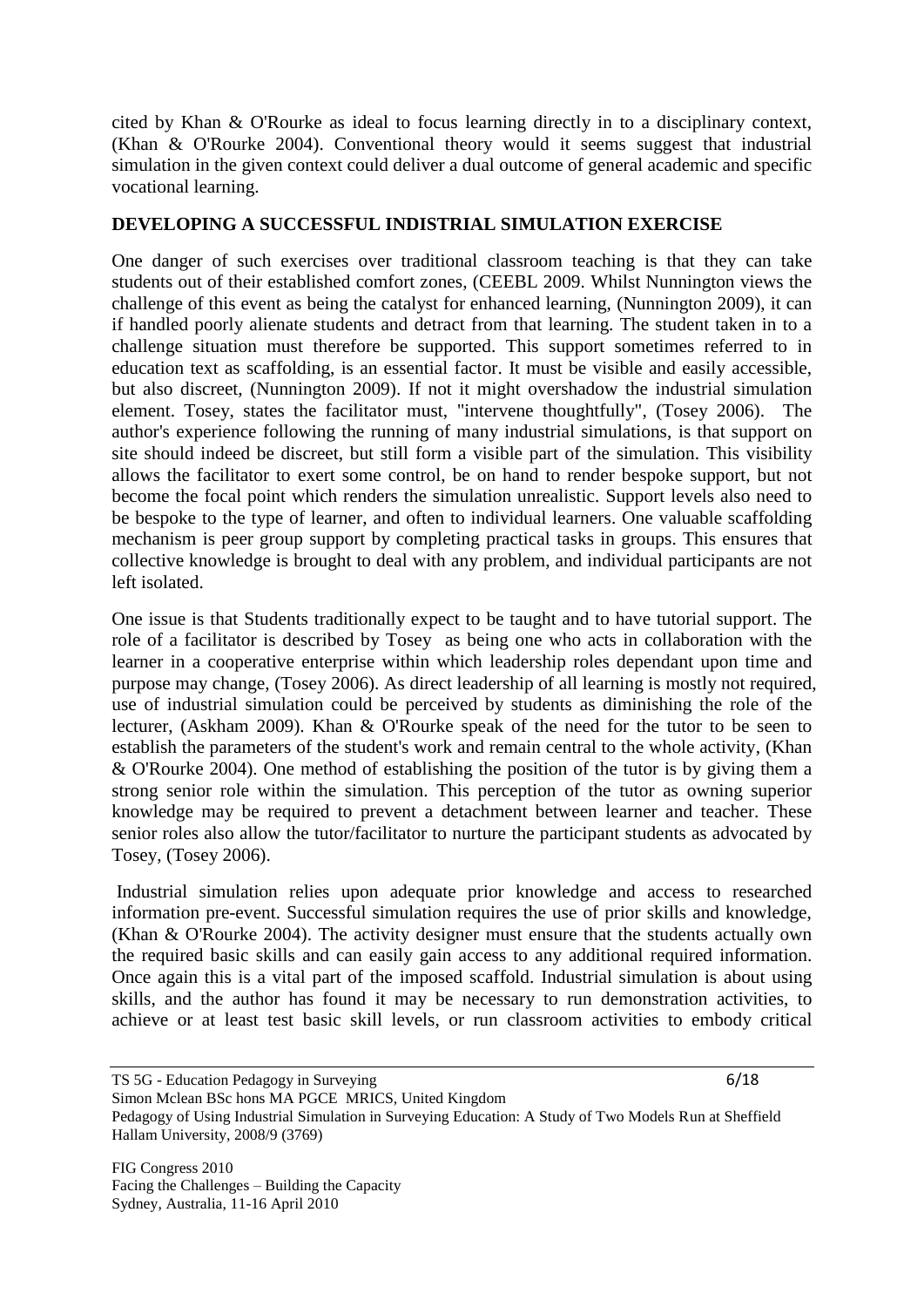cited by Khan & O'Rourke as ideal to focus learning directly in to a disciplinary context, (Khan & O'Rourke 2004). Conventional theory would it seems suggest that industrial simulation in the given context could deliver a dual outcome of general academic and specific vocational learning.

#### **DEVELOPING A SUCCESSFUL INDISTRIAL SIMULATION EXERCISE**

One danger of such exercises over traditional classroom teaching is that they can take students out of their established comfort zones, (CEEBL 2009. Whilst Nunnington views the challenge of this event as being the catalyst for enhanced learning, (Nunnington 2009), it can if handled poorly alienate students and detract from that learning. The student taken in to a challenge situation must therefore be supported. This support sometimes referred to in education text as scaffolding, is an essential factor. It must be visible and easily accessible, but also discreet, (Nunnington 2009). If not it might overshadow the industrial simulation element. Tosey, states the facilitator must, "intervene thoughtfully", (Tosey 2006). The author's experience following the running of many industrial simulations, is that support on site should indeed be discreet, but still form a visible part of the simulation. This visibility allows the facilitator to exert some control, be on hand to render bespoke support, but not become the focal point which renders the simulation unrealistic. Support levels also need to be bespoke to the type of learner, and often to individual learners. One valuable scaffolding mechanism is peer group support by completing practical tasks in groups. This ensures that collective knowledge is brought to deal with any problem, and individual participants are not left isolated.

One issue is that Students traditionally expect to be taught and to have tutorial support. The role of a facilitator is described by Tosey as being one who acts in collaboration with the learner in a cooperative enterprise within which leadership roles dependant upon time and purpose may change, (Tosey 2006). As direct leadership of all learning is mostly not required, use of industrial simulation could be perceived by students as diminishing the role of the lecturer, (Askham 2009). Khan & O'Rourke speak of the need for the tutor to be seen to establish the parameters of the student's work and remain central to the whole activity, (Khan & O'Rourke 2004). One method of establishing the position of the tutor is by giving them a strong senior role within the simulation. This perception of the tutor as owning superior knowledge may be required to prevent a detachment between learner and teacher. These senior roles also allow the tutor/facilitator to nurture the participant students as advocated by Tosey, (Tosey 2006).

Industrial simulation relies upon adequate prior knowledge and access to researched information pre-event. Successful simulation requires the use of prior skills and knowledge, (Khan & O'Rourke 2004). The activity designer must ensure that the students actually own the required basic skills and can easily gain access to any additional required information. Once again this is a vital part of the imposed scaffold. Industrial simulation is about using skills, and the author has found it may be necessary to run demonstration activities, to achieve or at least test basic skill levels, or run classroom activities to embody critical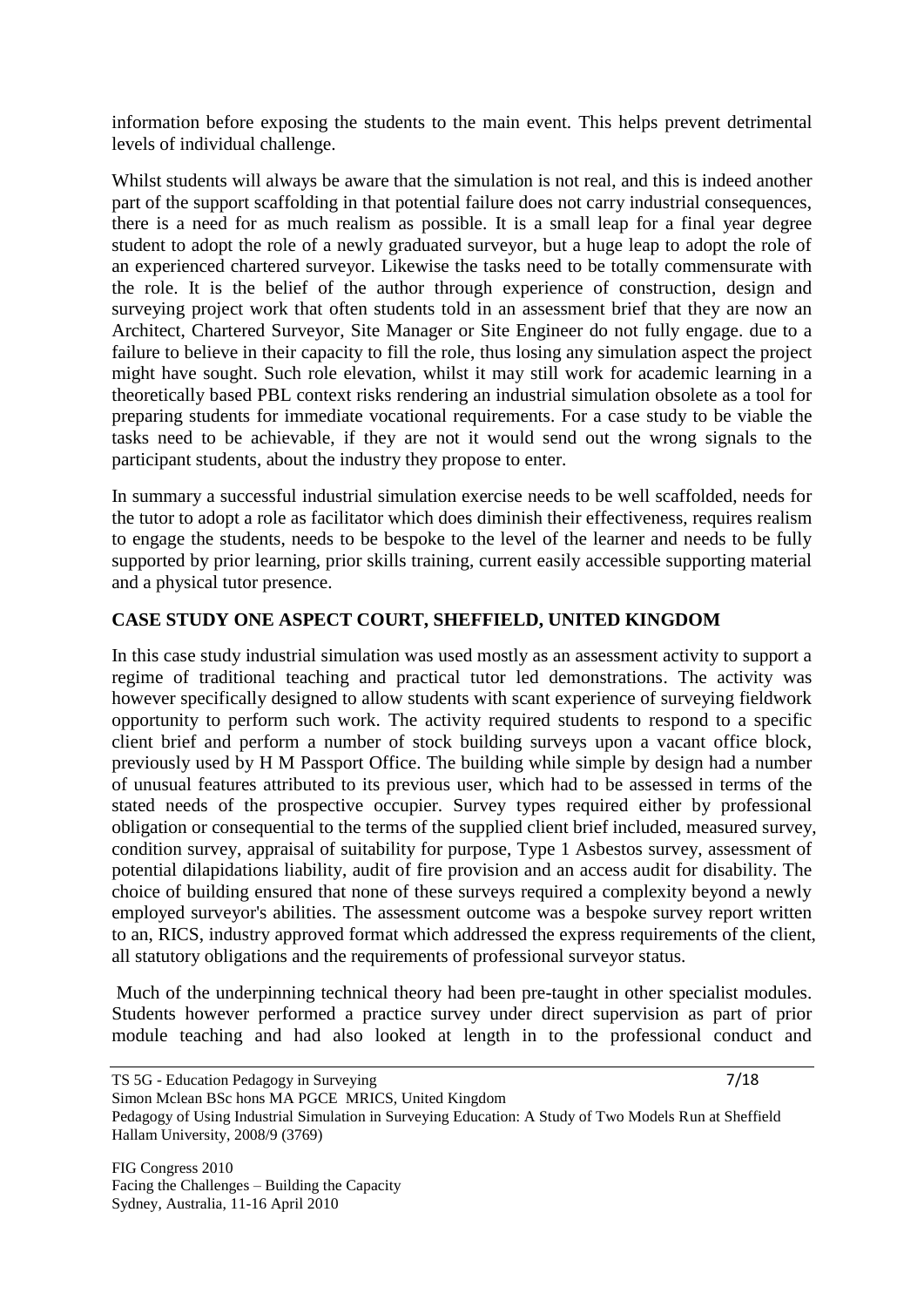information before exposing the students to the main event. This helps prevent detrimental levels of individual challenge.

Whilst students will always be aware that the simulation is not real, and this is indeed another part of the support scaffolding in that potential failure does not carry industrial consequences, there is a need for as much realism as possible. It is a small leap for a final year degree student to adopt the role of a newly graduated surveyor, but a huge leap to adopt the role of an experienced chartered surveyor. Likewise the tasks need to be totally commensurate with the role. It is the belief of the author through experience of construction, design and surveying project work that often students told in an assessment brief that they are now an Architect, Chartered Surveyor, Site Manager or Site Engineer do not fully engage. due to a failure to believe in their capacity to fill the role, thus losing any simulation aspect the project might have sought. Such role elevation, whilst it may still work for academic learning in a theoretically based PBL context risks rendering an industrial simulation obsolete as a tool for preparing students for immediate vocational requirements. For a case study to be viable the tasks need to be achievable, if they are not it would send out the wrong signals to the participant students, about the industry they propose to enter.

In summary a successful industrial simulation exercise needs to be well scaffolded, needs for the tutor to adopt a role as facilitator which does diminish their effectiveness, requires realism to engage the students, needs to be bespoke to the level of the learner and needs to be fully supported by prior learning, prior skills training, current easily accessible supporting material and a physical tutor presence.

## **CASE STUDY ONE ASPECT COURT, SHEFFIELD, UNITED KINGDOM**

In this case study industrial simulation was used mostly as an assessment activity to support a regime of traditional teaching and practical tutor led demonstrations. The activity was however specifically designed to allow students with scant experience of surveying fieldwork opportunity to perform such work. The activity required students to respond to a specific client brief and perform a number of stock building surveys upon a vacant office block, previously used by H M Passport Office. The building while simple by design had a number of unusual features attributed to its previous user, which had to be assessed in terms of the stated needs of the prospective occupier. Survey types required either by professional obligation or consequential to the terms of the supplied client brief included, measured survey, condition survey, appraisal of suitability for purpose, Type 1 Asbestos survey, assessment of potential dilapidations liability, audit of fire provision and an access audit for disability. The choice of building ensured that none of these surveys required a complexity beyond a newly employed surveyor's abilities. The assessment outcome was a bespoke survey report written to an, RICS, industry approved format which addressed the express requirements of the client, all statutory obligations and the requirements of professional surveyor status.

Much of the underpinning technical theory had been pre-taught in other specialist modules. Students however performed a practice survey under direct supervision as part of prior module teaching and had also looked at length in to the professional conduct and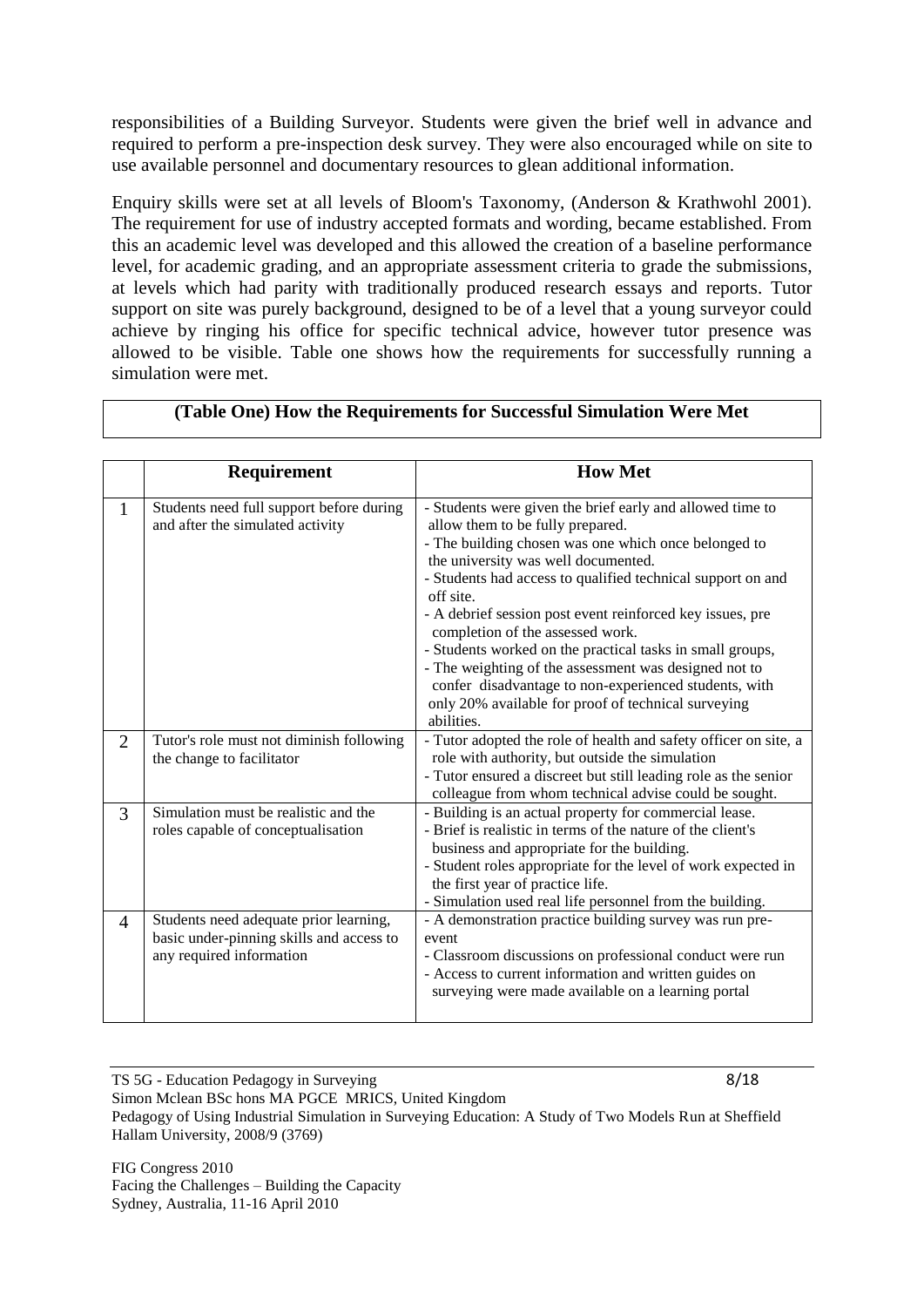responsibilities of a Building Surveyor. Students were given the brief well in advance and required to perform a pre-inspection desk survey. They were also encouraged while on site to use available personnel and documentary resources to glean additional information.

Enquiry skills were set at all levels of Bloom's Taxonomy, (Anderson & Krathwohl 2001). The requirement for use of industry accepted formats and wording, became established. From this an academic level was developed and this allowed the creation of a baseline performance level, for academic grading, and an appropriate assessment criteria to grade the submissions, at levels which had parity with traditionally produced research essays and reports. Tutor support on site was purely background, designed to be of a level that a young surveyor could achieve by ringing his office for specific technical advice, however tutor presence was allowed to be visible. Table one shows how the requirements for successfully running a simulation were met.

|                | Requirement                                                                                                    | <b>How Met</b>                                                                                                                                                                                                                                                                                                                                                                                                                                                                                                                                                                                                                |
|----------------|----------------------------------------------------------------------------------------------------------------|-------------------------------------------------------------------------------------------------------------------------------------------------------------------------------------------------------------------------------------------------------------------------------------------------------------------------------------------------------------------------------------------------------------------------------------------------------------------------------------------------------------------------------------------------------------------------------------------------------------------------------|
| 1              | Students need full support before during<br>and after the simulated activity                                   | - Students were given the brief early and allowed time to<br>allow them to be fully prepared.<br>- The building chosen was one which once belonged to<br>the university was well documented.<br>- Students had access to qualified technical support on and<br>off site.<br>- A debrief session post event reinforced key issues, pre<br>completion of the assessed work.<br>- Students worked on the practical tasks in small groups,<br>- The weighting of the assessment was designed not to<br>confer disadvantage to non-experienced students, with<br>only 20% available for proof of technical surveying<br>abilities. |
| $\overline{2}$ | Tutor's role must not diminish following<br>the change to facilitator                                          | - Tutor adopted the role of health and safety officer on site, a<br>role with authority, but outside the simulation<br>- Tutor ensured a discreet but still leading role as the senior<br>colleague from whom technical advise could be sought.                                                                                                                                                                                                                                                                                                                                                                               |
| 3              | Simulation must be realistic and the<br>roles capable of conceptualisation                                     | - Building is an actual property for commercial lease.<br>- Brief is realistic in terms of the nature of the client's<br>business and appropriate for the building.<br>- Student roles appropriate for the level of work expected in<br>the first year of practice life.<br>- Simulation used real life personnel from the building.                                                                                                                                                                                                                                                                                          |
| $\overline{4}$ | Students need adequate prior learning,<br>basic under-pinning skills and access to<br>any required information | - A demonstration practice building survey was run pre-<br>event<br>- Classroom discussions on professional conduct were run<br>- Access to current information and written guides on<br>surveying were made available on a learning portal                                                                                                                                                                                                                                                                                                                                                                                   |

#### **(Table One) How the Requirements for Successful Simulation Were Met**

TS 5G - Education Pedagogy in Surveying 8/18 Simon Mclean BSc hons MA PGCE MRICS, United Kingdom Pedagogy of Using Industrial Simulation in Surveying Education: A Study of Two Models Run at Sheffield Hallam University, 2008/9 (3769)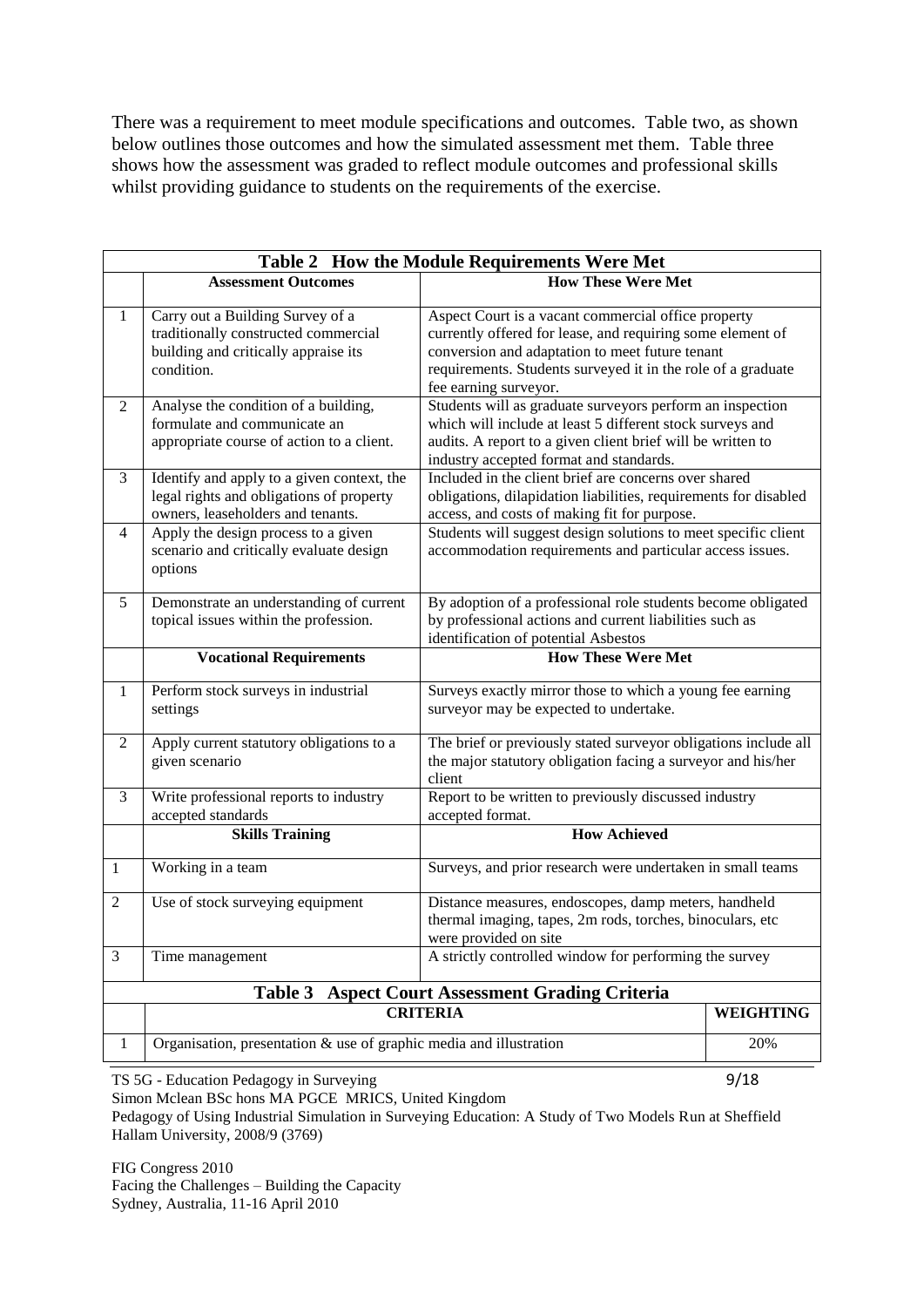There was a requirement to meet module specifications and outcomes. Table two, as shown below outlines those outcomes and how the simulated assessment met them. Table three shows how the assessment was graded to reflect module outcomes and professional skills whilst providing guidance to students on the requirements of the exercise.

|                | Table 2 How the Module Requirements Were Met                                                                                   |                                                                                                                                                                                                                                                               |  |  |
|----------------|--------------------------------------------------------------------------------------------------------------------------------|---------------------------------------------------------------------------------------------------------------------------------------------------------------------------------------------------------------------------------------------------------------|--|--|
|                | <b>Assessment Outcomes</b>                                                                                                     | <b>How These Were Met</b>                                                                                                                                                                                                                                     |  |  |
| 1              | Carry out a Building Survey of a<br>traditionally constructed commercial<br>building and critically appraise its<br>condition. | Aspect Court is a vacant commercial office property<br>currently offered for lease, and requiring some element of<br>conversion and adaptation to meet future tenant<br>requirements. Students surveyed it in the role of a graduate<br>fee earning surveyor. |  |  |
| $\overline{2}$ | Analyse the condition of a building,<br>formulate and communicate an<br>appropriate course of action to a client.              | Students will as graduate surveyors perform an inspection<br>which will include at least 5 different stock surveys and<br>audits. A report to a given client brief will be written to<br>industry accepted format and standards.                              |  |  |
| 3              | Identify and apply to a given context, the<br>legal rights and obligations of property<br>owners, leaseholders and tenants.    | Included in the client brief are concerns over shared<br>obligations, dilapidation liabilities, requirements for disabled<br>access, and costs of making fit for purpose.                                                                                     |  |  |
| $\overline{4}$ | Apply the design process to a given<br>scenario and critically evaluate design<br>options                                      | Students will suggest design solutions to meet specific client<br>accommodation requirements and particular access issues.                                                                                                                                    |  |  |
| 5              | Demonstrate an understanding of current<br>topical issues within the profession.                                               | By adoption of a professional role students become obligated<br>by professional actions and current liabilities such as<br>identification of potential Asbestos                                                                                               |  |  |
|                | <b>Vocational Requirements</b>                                                                                                 | <b>How These Were Met</b>                                                                                                                                                                                                                                     |  |  |
| 1              | Perform stock surveys in industrial<br>settings                                                                                | Surveys exactly mirror those to which a young fee earning<br>surveyor may be expected to undertake.                                                                                                                                                           |  |  |
| $\overline{c}$ | Apply current statutory obligations to a<br>given scenario                                                                     | The brief or previously stated surveyor obligations include all<br>the major statutory obligation facing a surveyor and his/her<br>client                                                                                                                     |  |  |
| 3              | Write professional reports to industry<br>accepted standards                                                                   | Report to be written to previously discussed industry<br>accepted format.                                                                                                                                                                                     |  |  |
|                | <b>Skills Training</b>                                                                                                         | <b>How Achieved</b>                                                                                                                                                                                                                                           |  |  |
| 1              | Working in a team                                                                                                              | Surveys, and prior research were undertaken in small teams                                                                                                                                                                                                    |  |  |
| $\mathfrak{2}$ | Use of stock surveying equipment                                                                                               | Distance measures, endoscopes, damp meters, handheld<br>thermal imaging, tapes, 2m rods, torches, binoculars, etc<br>were provided on site                                                                                                                    |  |  |
| 3              | A strictly controlled window for performing the survey<br>Time management                                                      |                                                                                                                                                                                                                                                               |  |  |
|                | Table 3<br><b>Aspect Court Assessment Grading Criteria</b>                                                                     |                                                                                                                                                                                                                                                               |  |  |
|                | <b>CRITERIA</b><br><b>WEIGHTING</b>                                                                                            |                                                                                                                                                                                                                                                               |  |  |
| 1              | Organisation, presentation $\&$ use of graphic media and illustration<br>20%                                                   |                                                                                                                                                                                                                                                               |  |  |

TS 5G - Education Pedagogy in Surveying 9/18

Simon Mclean BSc hons MA PGCE MRICS, United Kingdom

Pedagogy of Using Industrial Simulation in Surveying Education: A Study of Two Models Run at Sheffield Hallam University, 2008/9 (3769)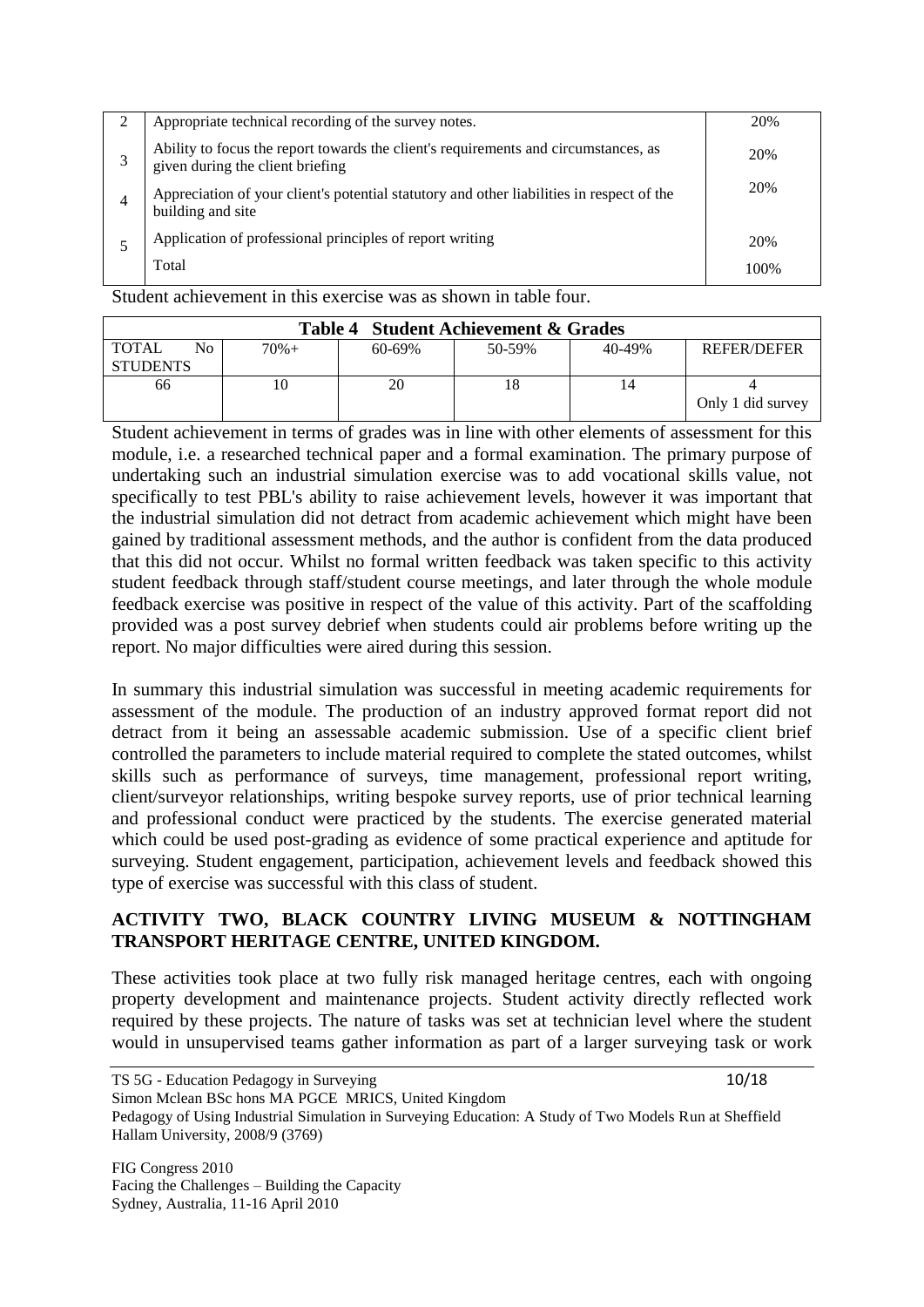| Appropriate technical recording of the survey notes.                                                                    | 20%  |
|-------------------------------------------------------------------------------------------------------------------------|------|
| Ability to focus the report towards the client's requirements and circumstances, as<br>given during the client briefing | 20%  |
| Appreciation of your client's potential statutory and other liabilities in respect of the<br>building and site          | 20%  |
| Application of professional principles of report writing                                                                | 20%  |
| Total                                                                                                                   | 100% |
|                                                                                                                         |      |

Student achievement in this exercise was as shown in table four.

| Table 4 Student Achievement & Grades   |         |             |        |        |                    |
|----------------------------------------|---------|-------------|--------|--------|--------------------|
| <b>TOTAL</b><br>No.<br><b>STUDENTS</b> | $70% +$ | $60 - 69\%$ | 50-59% | 40-49% | <b>REFER/DEFER</b> |
| 66                                     | 10      | 20          |        |        | Only 1 did survey  |

Student achievement in terms of grades was in line with other elements of assessment for this module, i.e. a researched technical paper and a formal examination. The primary purpose of undertaking such an industrial simulation exercise was to add vocational skills value, not specifically to test PBL's ability to raise achievement levels, however it was important that the industrial simulation did not detract from academic achievement which might have been gained by traditional assessment methods, and the author is confident from the data produced that this did not occur. Whilst no formal written feedback was taken specific to this activity student feedback through staff/student course meetings, and later through the whole module feedback exercise was positive in respect of the value of this activity. Part of the scaffolding provided was a post survey debrief when students could air problems before writing up the report. No major difficulties were aired during this session.

In summary this industrial simulation was successful in meeting academic requirements for assessment of the module. The production of an industry approved format report did not detract from it being an assessable academic submission. Use of a specific client brief controlled the parameters to include material required to complete the stated outcomes, whilst skills such as performance of surveys, time management, professional report writing, client/surveyor relationships, writing bespoke survey reports, use of prior technical learning and professional conduct were practiced by the students. The exercise generated material which could be used post-grading as evidence of some practical experience and aptitude for surveying. Student engagement, participation, achievement levels and feedback showed this type of exercise was successful with this class of student.

## **ACTIVITY TWO, BLACK COUNTRY LIVING MUSEUM & NOTTINGHAM TRANSPORT HERITAGE CENTRE, UNITED KINGDOM.**

These activities took place at two fully risk managed heritage centres, each with ongoing property development and maintenance projects. Student activity directly reflected work required by these projects. The nature of tasks was set at technician level where the student would in unsupervised teams gather information as part of a larger surveying task or work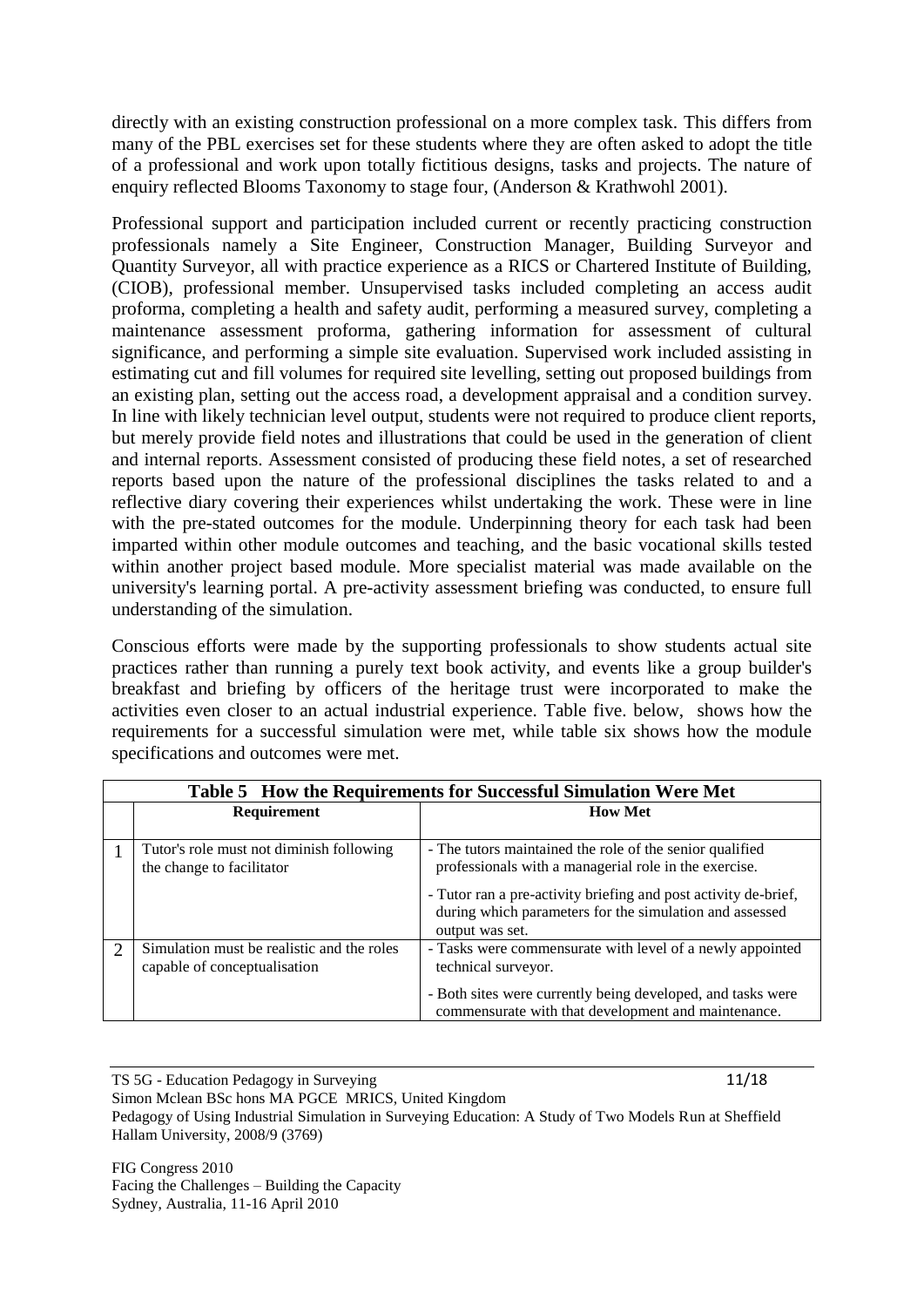directly with an existing construction professional on a more complex task. This differs from many of the PBL exercises set for these students where they are often asked to adopt the title of a professional and work upon totally fictitious designs, tasks and projects. The nature of enquiry reflected Blooms Taxonomy to stage four, (Anderson & Krathwohl 2001).

Professional support and participation included current or recently practicing construction professionals namely a Site Engineer, Construction Manager, Building Surveyor and Quantity Surveyor, all with practice experience as a RICS or Chartered Institute of Building, (CIOB), professional member. Unsupervised tasks included completing an access audit proforma, completing a health and safety audit, performing a measured survey, completing a maintenance assessment proforma, gathering information for assessment of cultural significance, and performing a simple site evaluation. Supervised work included assisting in estimating cut and fill volumes for required site levelling, setting out proposed buildings from an existing plan, setting out the access road, a development appraisal and a condition survey. In line with likely technician level output, students were not required to produce client reports, but merely provide field notes and illustrations that could be used in the generation of client and internal reports. Assessment consisted of producing these field notes, a set of researched reports based upon the nature of the professional disciplines the tasks related to and a reflective diary covering their experiences whilst undertaking the work. These were in line with the pre-stated outcomes for the module. Underpinning theory for each task had been imparted within other module outcomes and teaching, and the basic vocational skills tested within another project based module. More specialist material was made available on the university's learning portal. A pre-activity assessment briefing was conducted, to ensure full understanding of the simulation.

Conscious efforts were made by the supporting professionals to show students actual site practices rather than running a purely text book activity, and events like a group builder's breakfast and briefing by officers of the heritage trust were incorporated to make the activities even closer to an actual industrial experience. Table five. below, shows how the requirements for a successful simulation were met, while table six shows how the module specifications and outcomes were met.

|   | Table 5 How the Requirements for Successful Simulation Were Met            |                                                                                                                                                                                      |  |  |
|---|----------------------------------------------------------------------------|--------------------------------------------------------------------------------------------------------------------------------------------------------------------------------------|--|--|
|   | Requirement                                                                | <b>How Met</b>                                                                                                                                                                       |  |  |
|   |                                                                            |                                                                                                                                                                                      |  |  |
|   | Tutor's role must not diminish following<br>the change to facilitator      | - The tutors maintained the role of the senior qualified<br>professionals with a managerial role in the exercise.<br>- Tutor ran a pre-activity briefing and post activity de-brief, |  |  |
|   |                                                                            | during which parameters for the simulation and assessed<br>output was set.                                                                                                           |  |  |
| 2 | Simulation must be realistic and the roles<br>capable of conceptualisation | - Tasks were commensurate with level of a newly appointed<br>technical surveyor.                                                                                                     |  |  |
|   |                                                                            | - Both sites were currently being developed, and tasks were<br>commensurate with that development and maintenance.                                                                   |  |  |

TS 5G - Education Pedagogy in Surveying 11/18 Simon Mclean BSc hons MA PGCE MRICS, United Kingdom Pedagogy of Using Industrial Simulation in Surveying Education: A Study of Two Models Run at Sheffield Hallam University, 2008/9 (3769)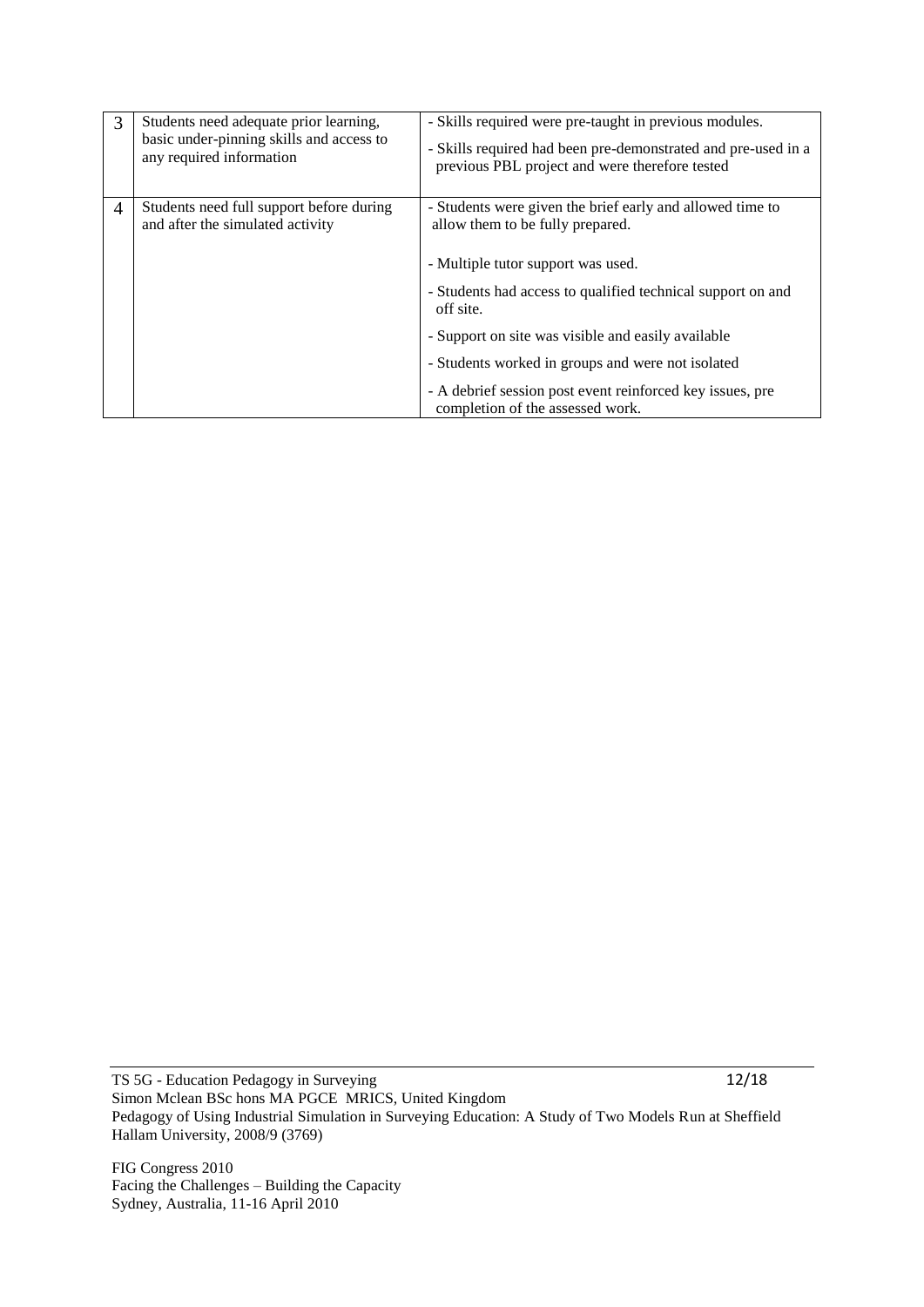| 3 | Students need adequate prior learning,<br>basic under-pinning skills and access to<br>any required information | - Skills required were pre-taught in previous modules.<br>- Skills required had been pre-demonstrated and pre-used in a<br>previous PBL project and were therefore tested                                                                                                                                                                                                                                                   |
|---|----------------------------------------------------------------------------------------------------------------|-----------------------------------------------------------------------------------------------------------------------------------------------------------------------------------------------------------------------------------------------------------------------------------------------------------------------------------------------------------------------------------------------------------------------------|
| 4 | Students need full support before during<br>and after the simulated activity                                   | - Students were given the brief early and allowed time to<br>allow them to be fully prepared.<br>- Multiple tutor support was used.<br>- Students had access to qualified technical support on and<br>off site.<br>- Support on site was visible and easily available<br>- Students worked in groups and were not isolated<br>- A debrief session post event reinforced key issues, pre<br>completion of the assessed work. |

TS 5G - Education Pedagogy in Surveying 12/18 Simon Mclean BSc hons MA PGCE MRICS, United Kingdom Pedagogy of Using Industrial Simulation in Surveying Education: A Study of Two Models Run at Sheffield Hallam University, 2008/9 (3769)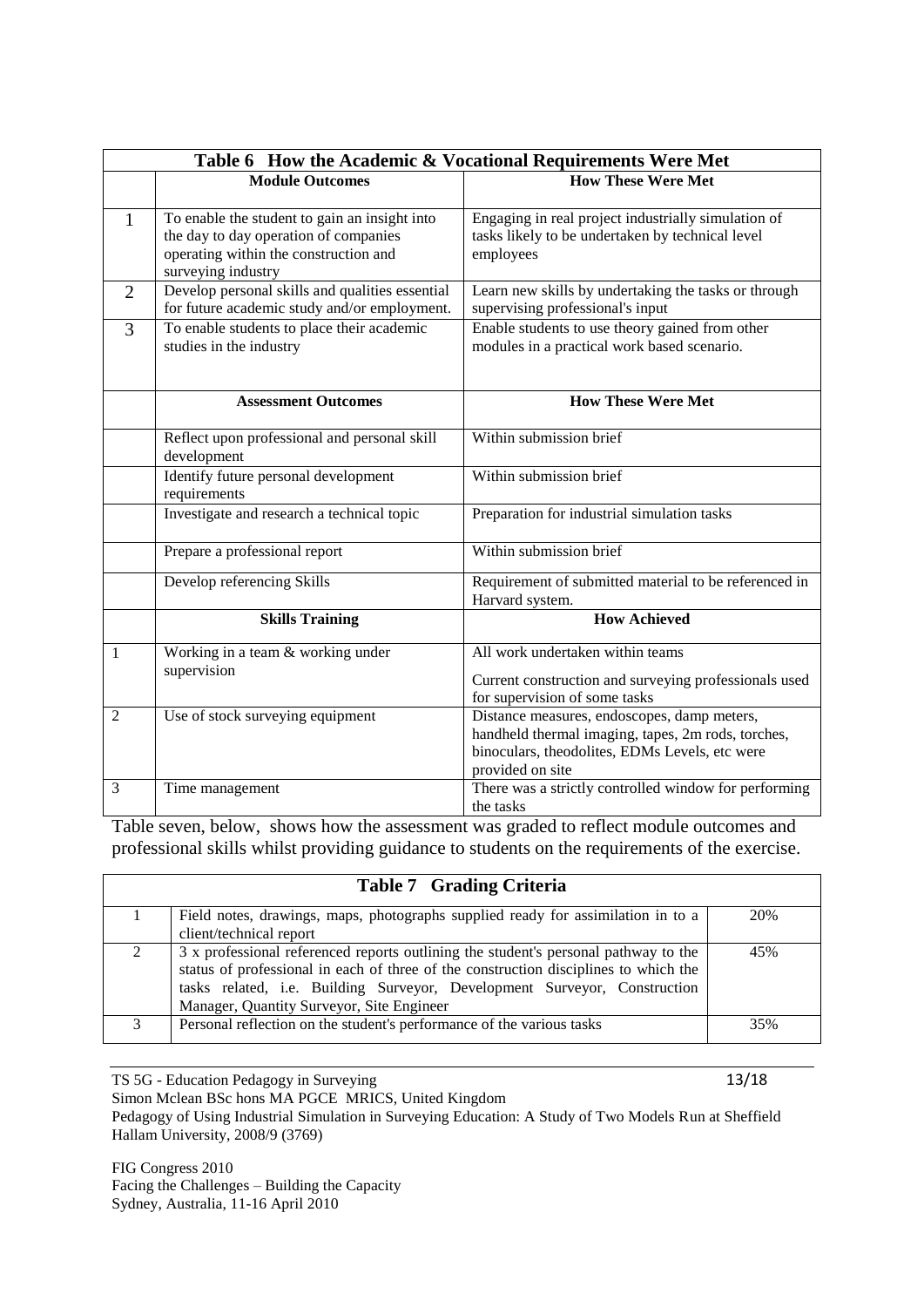|                | Table 6 How the Academic & Vocational Requirements Were Met                                                                                           |                                                                                                                                                                         |  |  |
|----------------|-------------------------------------------------------------------------------------------------------------------------------------------------------|-------------------------------------------------------------------------------------------------------------------------------------------------------------------------|--|--|
|                | <b>Module Outcomes</b>                                                                                                                                | <b>How These Were Met</b>                                                                                                                                               |  |  |
| 1              | To enable the student to gain an insight into<br>the day to day operation of companies<br>operating within the construction and<br>surveying industry | Engaging in real project industrially simulation of<br>tasks likely to be undertaken by technical level<br>employees                                                    |  |  |
| $\overline{2}$ | Develop personal skills and qualities essential<br>for future academic study and/or employment.                                                       | Learn new skills by undertaking the tasks or through<br>supervising professional's input                                                                                |  |  |
| 3              | To enable students to place their academic<br>studies in the industry                                                                                 | Enable students to use theory gained from other<br>modules in a practical work based scenario.                                                                          |  |  |
|                | <b>Assessment Outcomes</b>                                                                                                                            | <b>How These Were Met</b>                                                                                                                                               |  |  |
|                | Reflect upon professional and personal skill<br>development                                                                                           | Within submission brief                                                                                                                                                 |  |  |
|                | Identify future personal development<br>requirements                                                                                                  | Within submission brief                                                                                                                                                 |  |  |
|                | Investigate and research a technical topic                                                                                                            | Preparation for industrial simulation tasks                                                                                                                             |  |  |
|                | Prepare a professional report                                                                                                                         | Within submission brief                                                                                                                                                 |  |  |
|                | Develop referencing Skills                                                                                                                            | Requirement of submitted material to be referenced in<br>Harvard system.                                                                                                |  |  |
|                | <b>Skills Training</b>                                                                                                                                | <b>How Achieved</b>                                                                                                                                                     |  |  |
| 1              | Working in a team & working under<br>supervision                                                                                                      | All work undertaken within teams<br>Current construction and surveying professionals used<br>for supervision of some tasks                                              |  |  |
| 2              | Use of stock surveying equipment                                                                                                                      | Distance measures, endoscopes, damp meters,<br>handheld thermal imaging, tapes, 2m rods, torches,<br>binoculars, theodolites, EDMs Levels, etc were<br>provided on site |  |  |
| 3              | Time management                                                                                                                                       | There was a strictly controlled window for performing<br>the tasks                                                                                                      |  |  |

Table seven, below, shows how the assessment was graded to reflect module outcomes and professional skills whilst providing guidance to students on the requirements of the exercise.

|                   | <b>Table 7 Grading Criteria</b>                                                                                                                                                                                                                                                                       |     |  |
|-------------------|-------------------------------------------------------------------------------------------------------------------------------------------------------------------------------------------------------------------------------------------------------------------------------------------------------|-----|--|
|                   | Field notes, drawings, maps, photographs supplied ready for assimilation in to a                                                                                                                                                                                                                      | 20% |  |
|                   | client/technical report                                                                                                                                                                                                                                                                               |     |  |
|                   | 3 x professional referenced reports outlining the student's personal pathway to the<br>status of professional in each of three of the construction disciplines to which the<br>tasks related, i.e. Building Surveyor, Development Surveyor, Construction<br>Manager, Quantity Surveyor, Site Engineer | 45% |  |
| $\mathbf{\Omega}$ | Personal reflection on the student's performance of the various tasks                                                                                                                                                                                                                                 | 35% |  |

TS 5G - Education Pedagogy in Surveying 13/18

Simon Mclean BSc hons MA PGCE MRICS, United Kingdom

Pedagogy of Using Industrial Simulation in Surveying Education: A Study of Two Models Run at Sheffield Hallam University, 2008/9 (3769)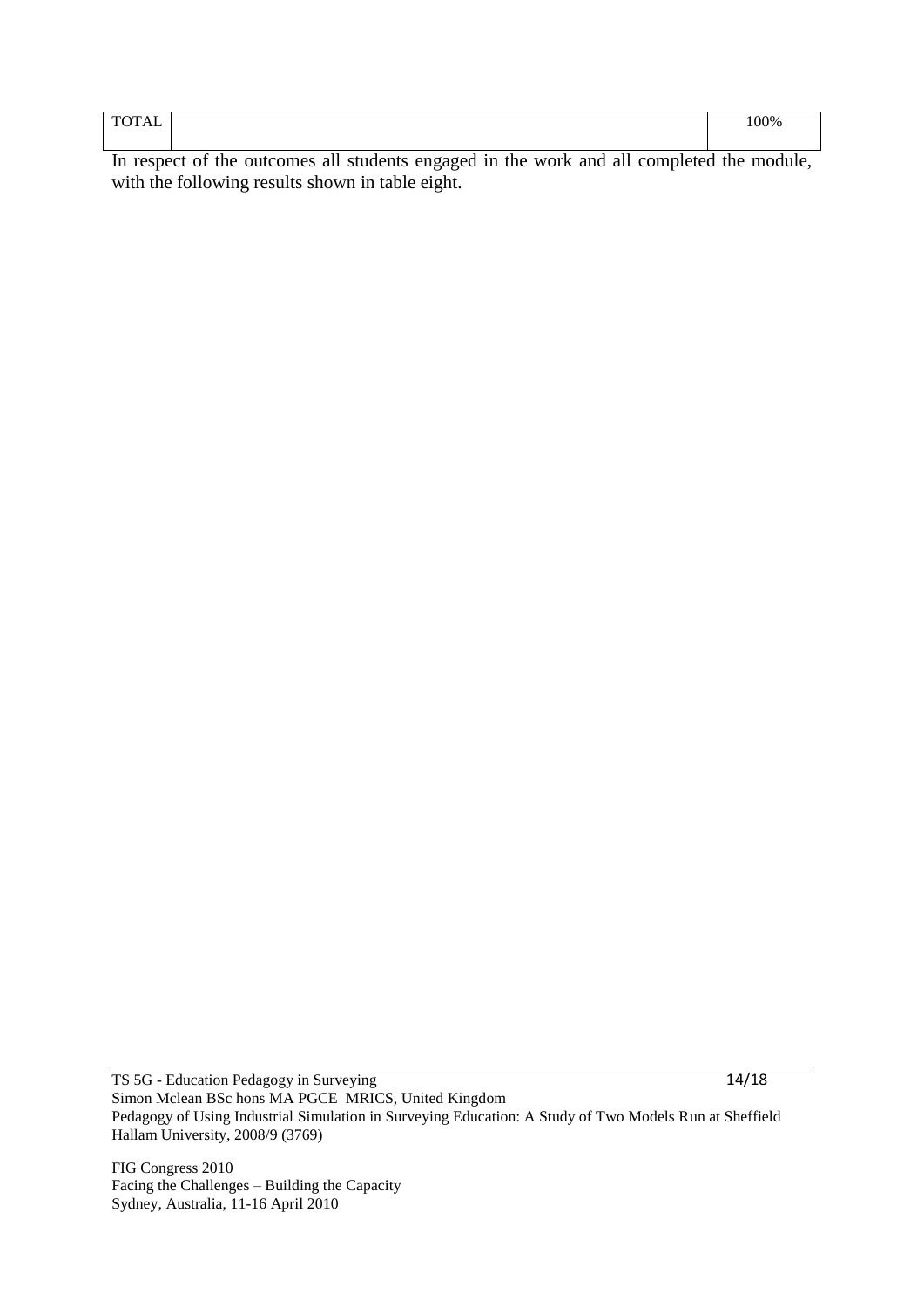| <b>TOTAL</b><br>ΆL<br>. .<br>$  -$ | 100% |
|------------------------------------|------|
|                                    |      |

In respect of the outcomes all students engaged in the work and all completed the module, with the following results shown in table eight.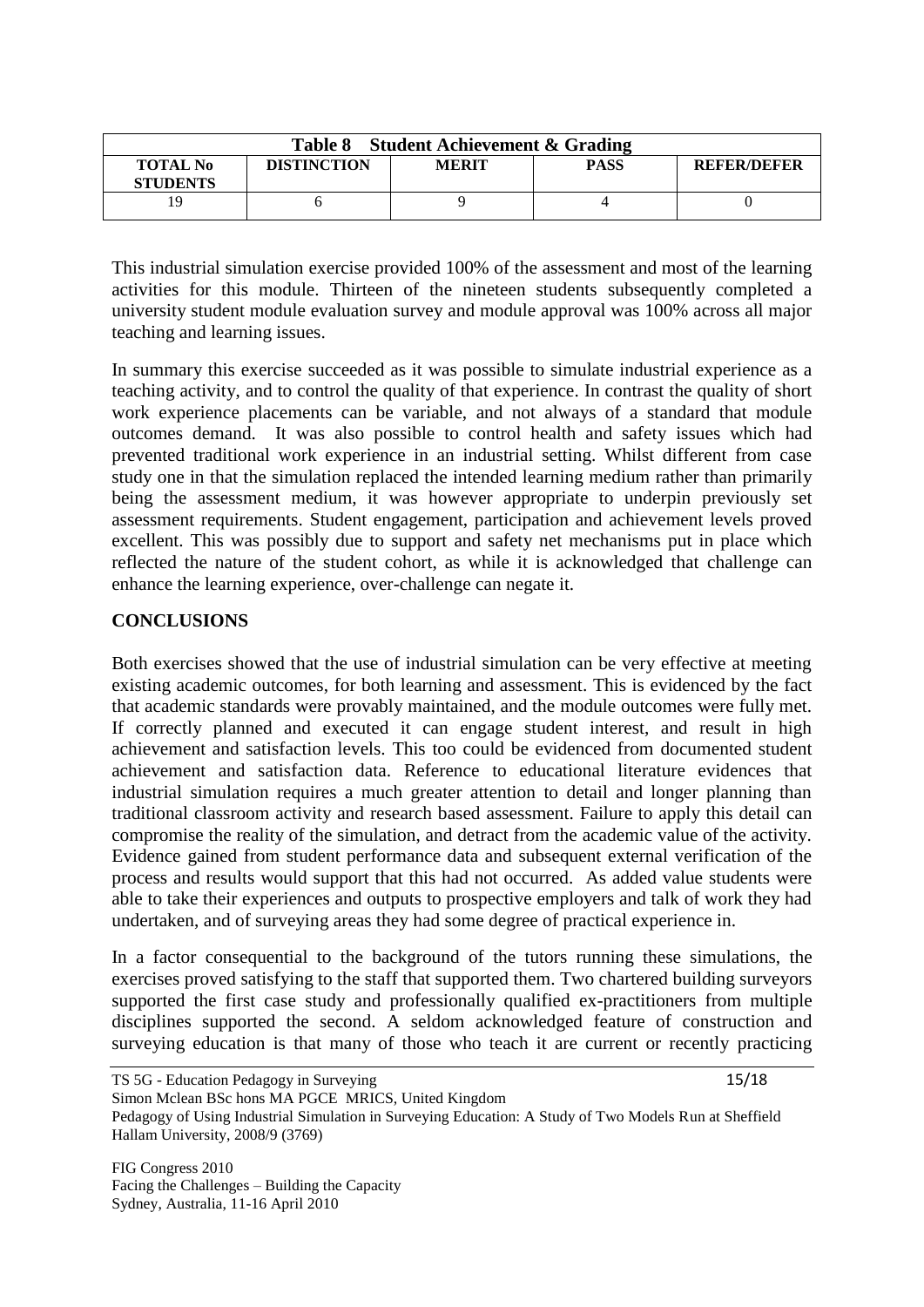| Table 8 Student Achievement & Grading |                    |              |             |                    |  |
|---------------------------------------|--------------------|--------------|-------------|--------------------|--|
| <b>TOTAL No</b><br><b>STUDENTS</b>    | <b>DISTINCTION</b> | <b>MERIT</b> | <b>PASS</b> | <b>REFER/DEFER</b> |  |
|                                       |                    |              |             |                    |  |

This industrial simulation exercise provided 100% of the assessment and most of the learning activities for this module. Thirteen of the nineteen students subsequently completed a university student module evaluation survey and module approval was 100% across all major teaching and learning issues.

In summary this exercise succeeded as it was possible to simulate industrial experience as a teaching activity, and to control the quality of that experience. In contrast the quality of short work experience placements can be variable, and not always of a standard that module outcomes demand. It was also possible to control health and safety issues which had prevented traditional work experience in an industrial setting. Whilst different from case study one in that the simulation replaced the intended learning medium rather than primarily being the assessment medium, it was however appropriate to underpin previously set assessment requirements. Student engagement, participation and achievement levels proved excellent. This was possibly due to support and safety net mechanisms put in place which reflected the nature of the student cohort, as while it is acknowledged that challenge can enhance the learning experience, over-challenge can negate it.

## **CONCLUSIONS**

Both exercises showed that the use of industrial simulation can be very effective at meeting existing academic outcomes, for both learning and assessment. This is evidenced by the fact that academic standards were provably maintained, and the module outcomes were fully met. If correctly planned and executed it can engage student interest, and result in high achievement and satisfaction levels. This too could be evidenced from documented student achievement and satisfaction data. Reference to educational literature evidences that industrial simulation requires a much greater attention to detail and longer planning than traditional classroom activity and research based assessment. Failure to apply this detail can compromise the reality of the simulation, and detract from the academic value of the activity. Evidence gained from student performance data and subsequent external verification of the process and results would support that this had not occurred. As added value students were able to take their experiences and outputs to prospective employers and talk of work they had undertaken, and of surveying areas they had some degree of practical experience in.

In a factor consequential to the background of the tutors running these simulations, the exercises proved satisfying to the staff that supported them. Two chartered building surveyors supported the first case study and professionally qualified ex-practitioners from multiple disciplines supported the second. A seldom acknowledged feature of construction and surveying education is that many of those who teach it are current or recently practicing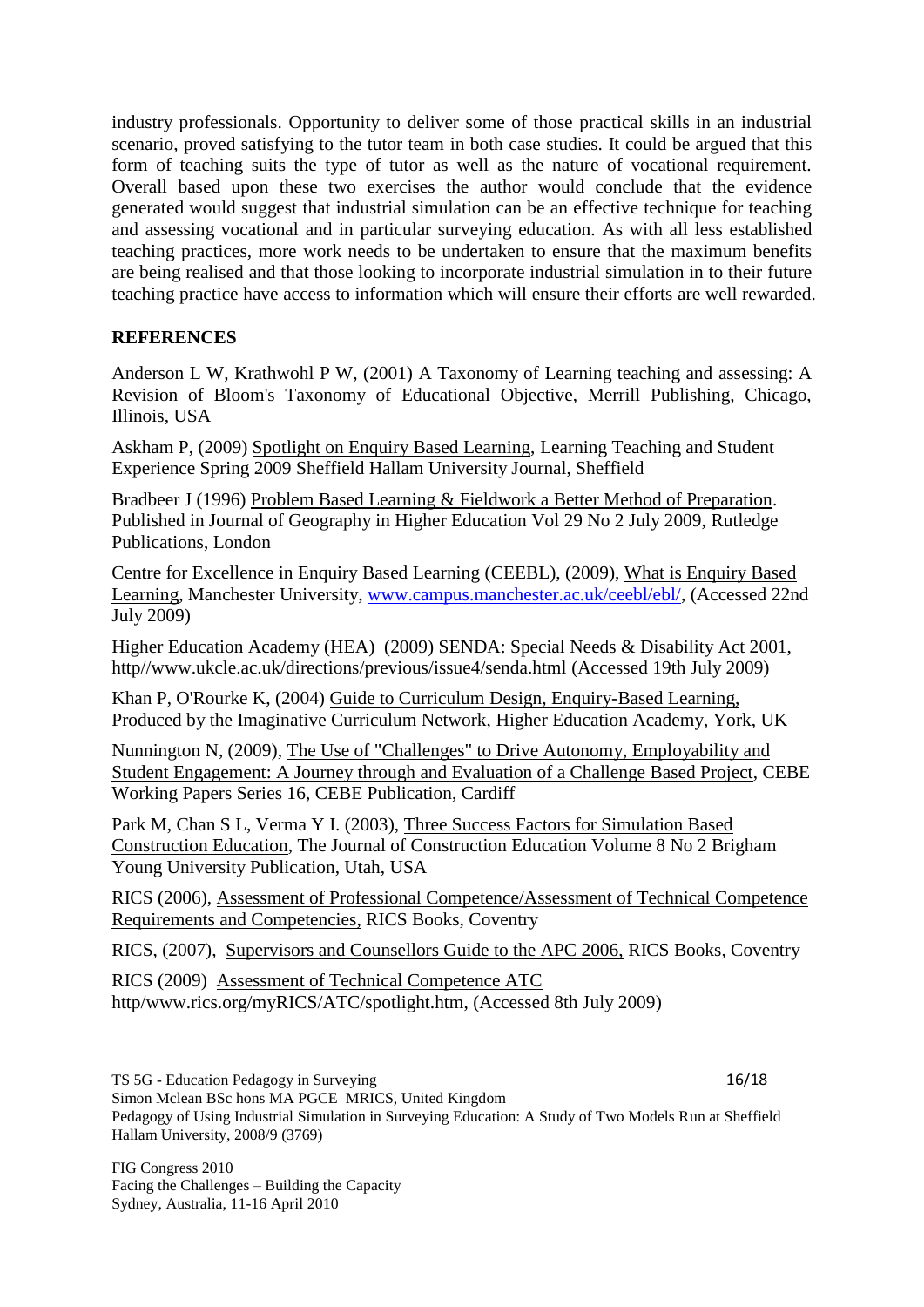industry professionals. Opportunity to deliver some of those practical skills in an industrial scenario, proved satisfying to the tutor team in both case studies. It could be argued that this form of teaching suits the type of tutor as well as the nature of vocational requirement. Overall based upon these two exercises the author would conclude that the evidence generated would suggest that industrial simulation can be an effective technique for teaching and assessing vocational and in particular surveying education. As with all less established teaching practices, more work needs to be undertaken to ensure that the maximum benefits are being realised and that those looking to incorporate industrial simulation in to their future teaching practice have access to information which will ensure their efforts are well rewarded.

# **REFERENCES**

Anderson L W, Krathwohl P W, (2001) A Taxonomy of Learning teaching and assessing: A Revision of Bloom's Taxonomy of Educational Objective, Merrill Publishing, Chicago, Illinois, USA

Askham P, (2009) Spotlight on Enquiry Based Learning, Learning Teaching and Student Experience Spring 2009 Sheffield Hallam University Journal, Sheffield

Bradbeer J (1996) Problem Based Learning & Fieldwork a Better Method of Preparation. Published in Journal of Geography in Higher Education Vol 29 No 2 July 2009, Rutledge Publications, London

Centre for Excellence in Enquiry Based Learning (CEEBL), (2009), What is Enquiry Based Learning, Manchester University, [www.campus.manchester.ac.uk/ceebl/ebl/,](http://www.campus.manchester.ac.uk/ceebl/ebl/) (Accessed 22nd July 2009)

Higher Education Academy (HEA) (2009) SENDA: Special Needs & Disability Act 2001, http//www.ukcle.ac.uk/directions/previous/issue4/senda.html (Accessed 19th July 2009)

Khan P, O'Rourke K, (2004) Guide to Curriculum Design, Enquiry-Based Learning, Produced by the Imaginative Curriculum Network, Higher Education Academy, York, UK

Nunnington N, (2009), The Use of "Challenges" to Drive Autonomy, Employability and Student Engagement: A Journey through and Evaluation of a Challenge Based Project, CEBE Working Papers Series 16, CEBE Publication, Cardiff

Park M, Chan S L, Verma Y I. (2003), Three Success Factors for Simulation Based Construction Education, The Journal of Construction Education Volume 8 No 2 Brigham Young University Publication, Utah, USA

RICS (2006), Assessment of Professional Competence/Assessment of Technical Competence Requirements and Competencies, RICS Books, Coventry

RICS, (2007), Supervisors and Counsellors Guide to the APC 2006, RICS Books, Coventry

RICS (2009) Assessment of Technical Competence ATC http/www.rics.org/myRICS/ATC/spotlight.htm, (Accessed 8th July 2009)

Simon Mclean BSc hons MA PGCE MRICS, United Kingdom

Pedagogy of Using Industrial Simulation in Surveying Education: A Study of Two Models Run at Sheffield Hallam University, 2008/9 (3769)

TS 5G - Education Pedagogy in Surveying 16/18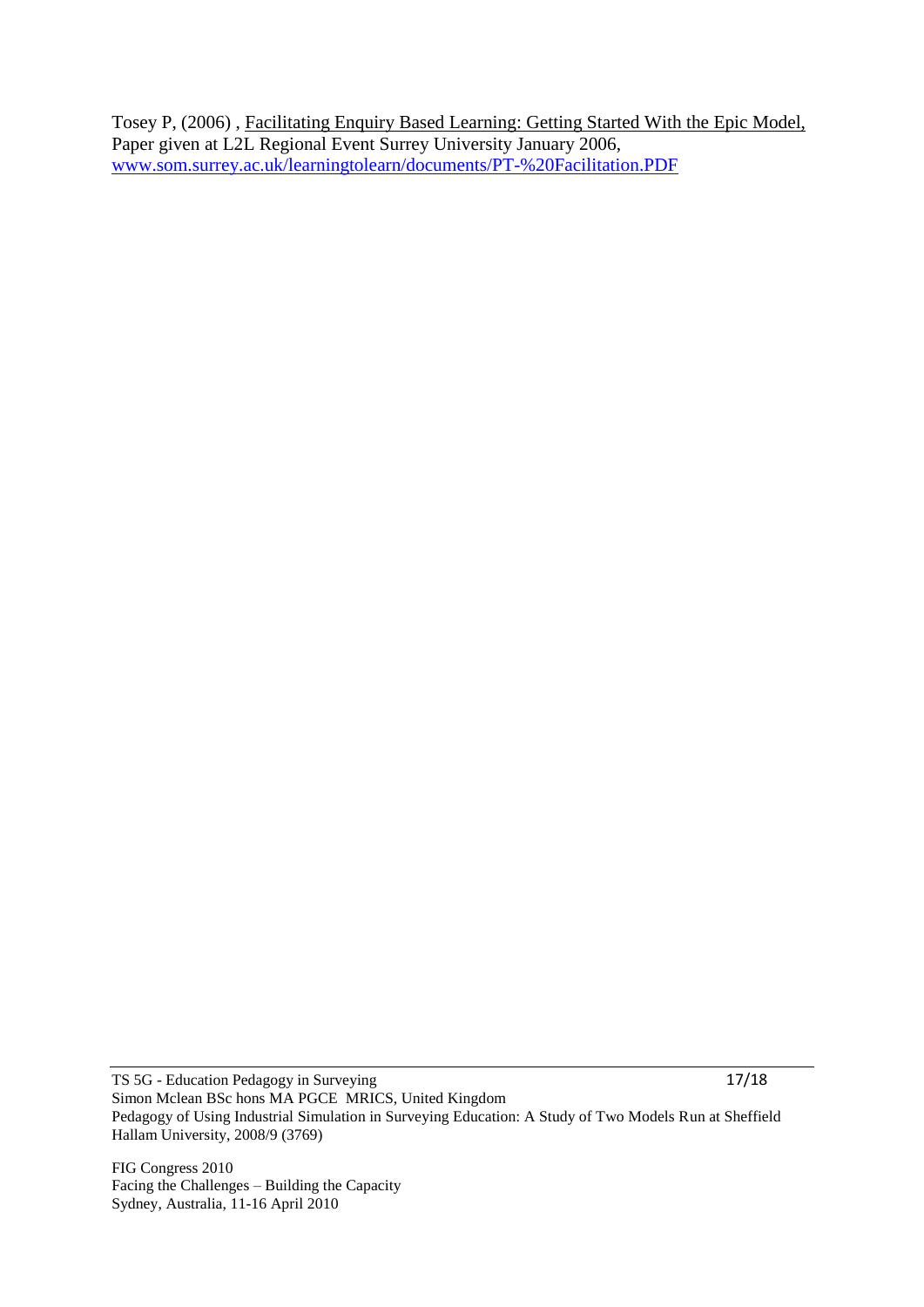Tosey P, (2006) , Facilitating Enquiry Based Learning: Getting Started With the Epic Model, Paper given at L2L Regional Event Surrey University January 2006, [www.som.surrey.ac.uk/learningtolearn/documents/PT-%20Facilitation.PDF](http://www.som.surrey.ac.uk/learningtolearn/documents/PT-%20Facilitation.PDF)

TS 5G - Education Pedagogy in Surveying 17/18 Simon Mclean BSc hons MA PGCE MRICS, United Kingdom Pedagogy of Using Industrial Simulation in Surveying Education: A Study of Two Models Run at Sheffield Hallam University, 2008/9 (3769)